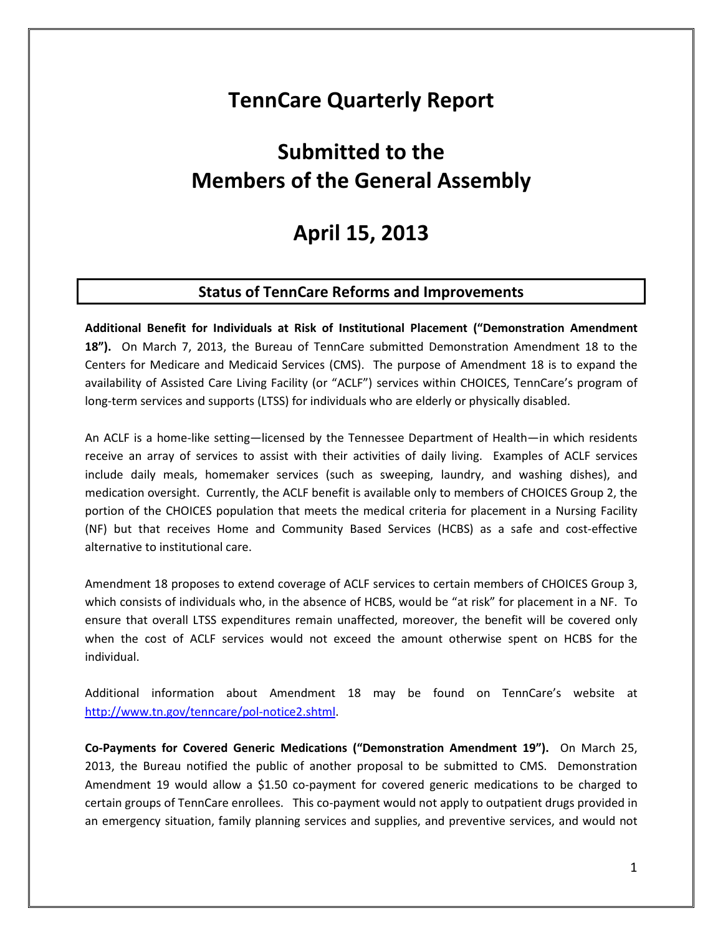## **TennCare Quarterly Report**

# **Submitted to the Members of the General Assembly**

## **April 15, 2013**

### **Status of TennCare Reforms and Improvements**

**Additional Benefit for Individuals at Risk of Institutional Placement ("Demonstration Amendment 18").** On March 7, 2013, the Bureau of TennCare submitted Demonstration Amendment 18 to the Centers for Medicare and Medicaid Services (CMS). The purpose of Amendment 18 is to expand the availability of Assisted Care Living Facility (or "ACLF") services within CHOICES, TennCare's program of long-term services and supports (LTSS) for individuals who are elderly or physically disabled.

An ACLF is a home-like setting—licensed by the Tennessee Department of Health—in which residents receive an array of services to assist with their activities of daily living. Examples of ACLF services include daily meals, homemaker services (such as sweeping, laundry, and washing dishes), and medication oversight. Currently, the ACLF benefit is available only to members of CHOICES Group 2, the portion of the CHOICES population that meets the medical criteria for placement in a Nursing Facility (NF) but that receives Home and Community Based Services (HCBS) as a safe and cost-effective alternative to institutional care.

Amendment 18 proposes to extend coverage of ACLF services to certain members of CHOICES Group 3, which consists of individuals who, in the absence of HCBS, would be "at risk" for placement in a NF. To ensure that overall LTSS expenditures remain unaffected, moreover, the benefit will be covered only when the cost of ACLF services would not exceed the amount otherwise spent on HCBS for the individual.

Additional information about Amendment 18 may be found on TennCare's website at http://www.tn.gov/tenncare/pol-notice2.shtml.

**Co-Payments for Covered Generic Medications ("Demonstration Amendment 19").** On March 25, 2013, the Bureau notified the public of another proposal to be submitted to CMS. Demonstration Amendment 19 would allow a \$1.50 co-payment for covered generic medications to be charged to certain groups of TennCare enrollees. This co-payment would not apply to outpatient drugs provided in an emergency situation, family planning services and supplies, and preventive services, and would not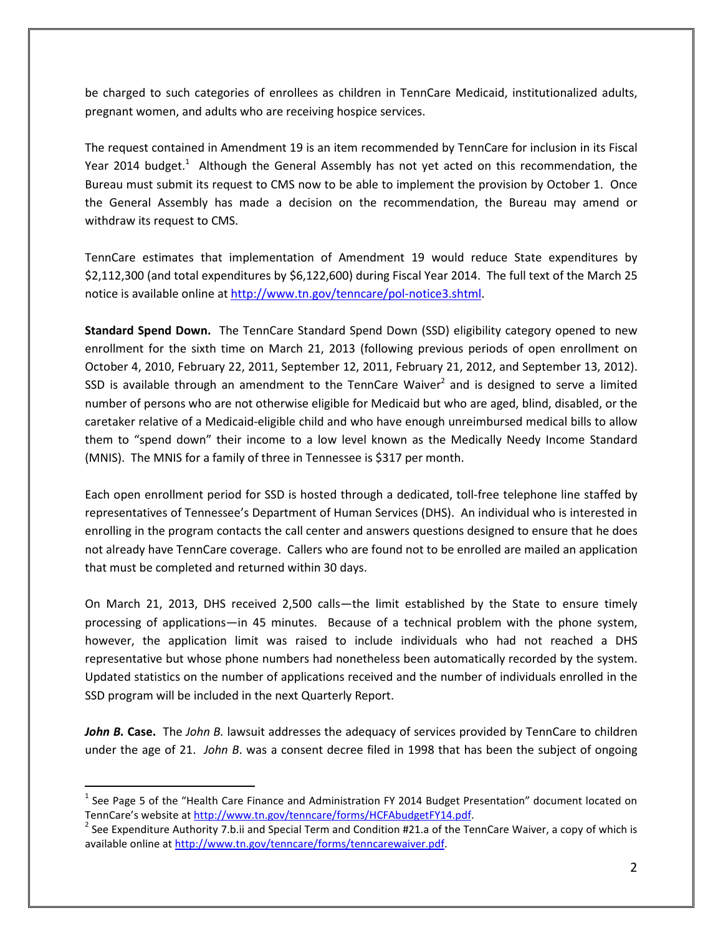be charged to such categories of enrollees as children in TennCare Medicaid, institutionalized adults, pregnant women, and adults who are receiving hospice services.

The request contained in Amendment 19 is an item recommended by TennCare for inclusion in its Fiscal Year 2014 budget.<sup>1</sup> Although the General Assembly has not yet acted on this recommendation, the Bureau must submit its request to CMS now to be able to implement the provision by October 1. Once the General Assembly has made a decision on the recommendation, the Bureau may amend or withdraw its request to CMS.

TennCare estimates that implementation of Amendment 19 would reduce State expenditures by \$2,112,300 (and total expenditures by \$6,122,600) during Fiscal Year 2014. The full text of the March 25 notice is available online at http://www.tn.gov/tenncare/pol-notice3.shtml.

**Standard Spend Down.** The TennCare Standard Spend Down (SSD) eligibility category opened to new enrollment for the sixth time on March 21, 2013 (following previous periods of open enrollment on October 4, 2010, February 22, 2011, September 12, 2011, February 21, 2012, and September 13, 2012). SSD is available through an amendment to the TennCare Waiver<sup>2</sup> and is designed to serve a limited number of persons who are not otherwise eligible for Medicaid but who are aged, blind, disabled, or the caretaker relative of a Medicaid-eligible child and who have enough unreimbursed medical bills to allow them to "spend down" their income to a low level known as the Medically Needy Income Standard (MNIS). The MNIS for a family of three in Tennessee is \$317 per month.

Each open enrollment period for SSD is hosted through a dedicated, toll-free telephone line staffed by representatives of Tennessee's Department of Human Services (DHS). An individual who is interested in enrolling in the program contacts the call center and answers questions designed to ensure that he does not already have TennCare coverage. Callers who are found not to be enrolled are mailed an application that must be completed and returned within 30 days.

On March 21, 2013, DHS received 2,500 calls—the limit established by the State to ensure timely processing of applications—in 45 minutes. Because of a technical problem with the phone system, however, the application limit was raised to include individuals who had not reached a DHS representative but whose phone numbers had nonetheless been automatically recorded by the system. Updated statistics on the number of applications received and the number of individuals enrolled in the SSD program will be included in the next Quarterly Report.

*John B.* **Case.** The *John B.* lawsuit addresses the adequacy of services provided by TennCare to children under the age of 21. *John B*. was a consent decree filed in 1998 that has been the subject of ongoing

<sup>&</sup>lt;sup>1</sup> See Page 5 of the "Health Care Finance and Administration FY 2014 Budget Presentation" document located on TennCare's website at http://www.tn.gov/tenncare/forms/HCFAbudgetFY14.pdf.

<sup>&</sup>lt;sup>2</sup> See Expenditure Authority 7.b.ii and Special Term and Condition #21.a of the TennCare Waiver, a copy of which is available online at http://www.tn.gov/tenncare/forms/tenncarewaiver.pdf.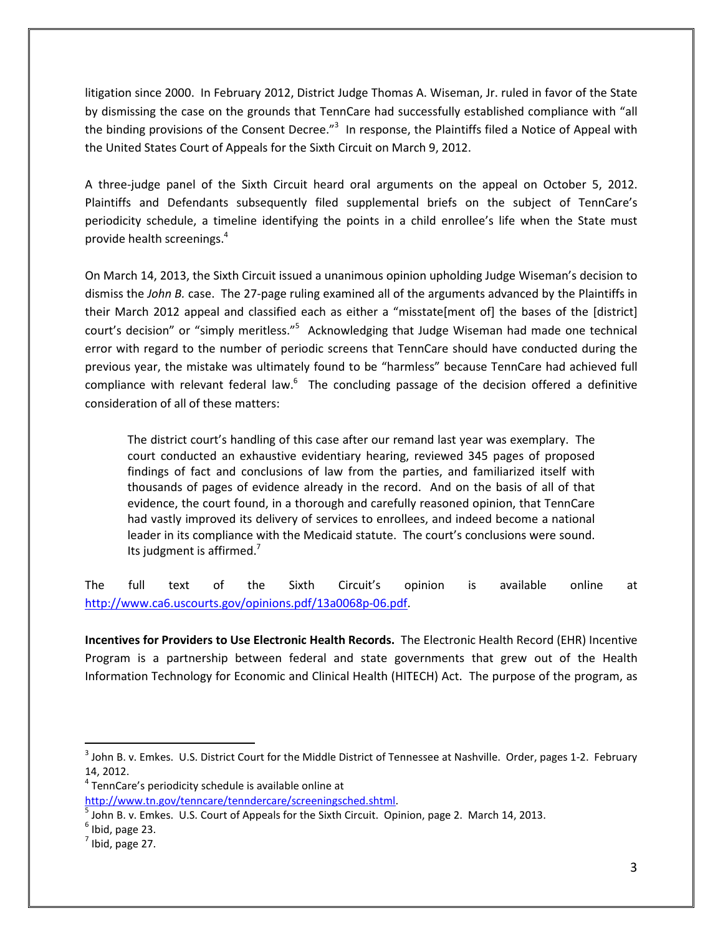litigation since 2000. In February 2012, District Judge Thomas A. Wiseman, Jr. ruled in favor of the State by dismissing the case on the grounds that TennCare had successfully established compliance with "all the binding provisions of the Consent Decree."<sup>3</sup> In response, the Plaintiffs filed a Notice of Appeal with the United States Court of Appeals for the Sixth Circuit on March 9, 2012.

A three-judge panel of the Sixth Circuit heard oral arguments on the appeal on October 5, 2012. Plaintiffs and Defendants subsequently filed supplemental briefs on the subject of TennCare's periodicity schedule, a timeline identifying the points in a child enrollee's life when the State must provide health screenings. $4$ 

On March 14, 2013, the Sixth Circuit issued a unanimous opinion upholding Judge Wiseman's decision to dismiss the *John B.* case. The 27-page ruling examined all of the arguments advanced by the Plaintiffs in their March 2012 appeal and classified each as either a "misstate[ment of] the bases of the [district] court's decision" or "simply meritless."<sup>5</sup> Acknowledging that Judge Wiseman had made one technical error with regard to the number of periodic screens that TennCare should have conducted during the previous year, the mistake was ultimately found to be "harmless" because TennCare had achieved full compliance with relevant federal law. $<sup>6</sup>$  The concluding passage of the decision offered a definitive</sup> consideration of all of these matters:

The district court's handling of this case after our remand last year was exemplary. The court conducted an exhaustive evidentiary hearing, reviewed 345 pages of proposed findings of fact and conclusions of law from the parties, and familiarized itself with thousands of pages of evidence already in the record. And on the basis of all of that evidence, the court found, in a thorough and carefully reasoned opinion, that TennCare had vastly improved its delivery of services to enrollees, and indeed become a national leader in its compliance with the Medicaid statute. The court's conclusions were sound. Its judgment is affirmed.<sup>7</sup>

The full text of the Sixth Circuit's opinion is available online at http://www.ca6.uscourts.gov/opinions.pdf/13a0068p-06.pdf.

**Incentives for Providers to Use Electronic Health Records.** The Electronic Health Record (EHR) Incentive Program is a partnership between federal and state governments that grew out of the Health Information Technology for Economic and Clinical Health (HITECH) Act. The purpose of the program, as

 $^3$  John B. v. Emkes. U.S. District Court for the Middle District of Tennessee at Nashville. Order, pages 1-2. February 14, 2012.

<sup>&</sup>lt;sup>4</sup> TennCare's periodicity schedule is available online at

http://www.tn.gov/tenncare/tenndercare/screeningsched.shtml.

 $<sup>5</sup>$  John B. v. Emkes. U.S. Court of Appeals for the Sixth Circuit. Opinion, page 2. March 14, 2013.</sup>

 $<sup>6</sup>$  Ibid, page 23.</sup>

 $<sup>7</sup>$  Ibid, page 27.</sup>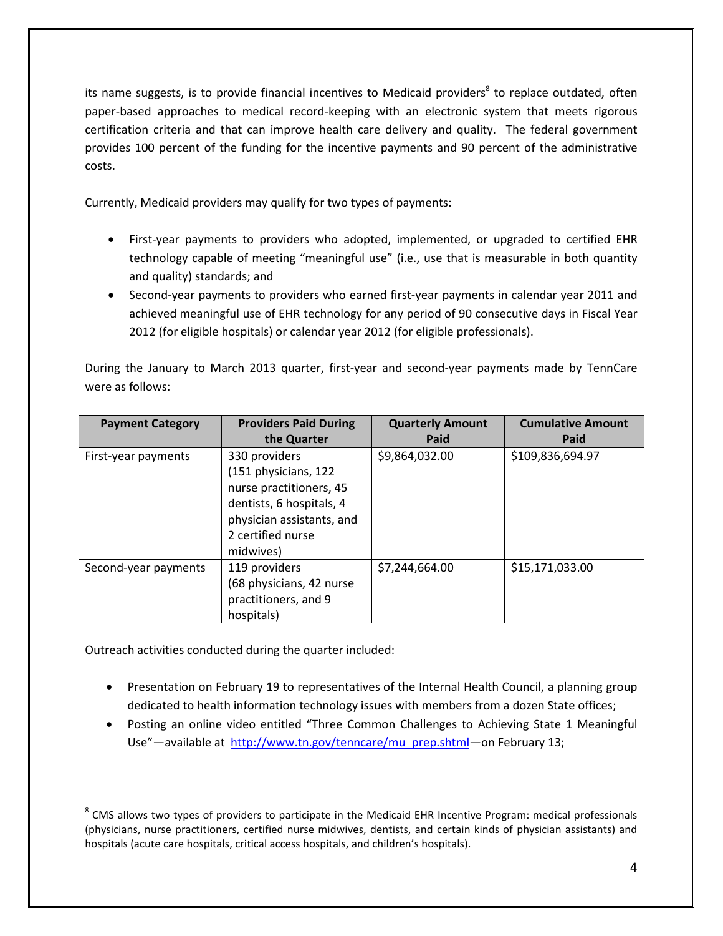its name suggests, is to provide financial incentives to Medicaid providers<sup>8</sup> to replace outdated, often paper-based approaches to medical record-keeping with an electronic system that meets rigorous certification criteria and that can improve health care delivery and quality. The federal government provides 100 percent of the funding for the incentive payments and 90 percent of the administrative costs.

Currently, Medicaid providers may qualify for two types of payments:

- First-year payments to providers who adopted, implemented, or upgraded to certified EHR technology capable of meeting "meaningful use" (i.e., use that is measurable in both quantity and quality) standards; and
- Second-year payments to providers who earned first-year payments in calendar year 2011 and achieved meaningful use of EHR technology for any period of 90 consecutive days in Fiscal Year 2012 (for eligible hospitals) or calendar year 2012 (for eligible professionals).

During the January to March 2013 quarter, first-year and second-year payments made by TennCare were as follows:

| <b>Payment Category</b> | <b>Providers Paid During</b>                                                                                                                                | <b>Quarterly Amount</b> | <b>Cumulative Amount</b> |
|-------------------------|-------------------------------------------------------------------------------------------------------------------------------------------------------------|-------------------------|--------------------------|
|                         | the Quarter                                                                                                                                                 | Paid                    | Paid                     |
| First-year payments     | 330 providers<br>(151 physicians, 122<br>nurse practitioners, 45<br>dentists, 6 hospitals, 4<br>physician assistants, and<br>2 certified nurse<br>midwives) | \$9,864,032.00          | \$109,836,694.97         |
| Second-year payments    | 119 providers<br>(68 physicians, 42 nurse<br>practitioners, and 9<br>hospitals)                                                                             | \$7,244,664.00          | \$15,171,033.00          |

Outreach activities conducted during the quarter included:

 $\overline{a}$ 

- Presentation on February 19 to representatives of the Internal Health Council, a planning group dedicated to health information technology issues with members from a dozen State offices;
- Posting an online video entitled "Three Common Challenges to Achieving State 1 Meaningful Use"—available at http://www.tn.gov/tenncare/mu\_prep.shtml—on February 13;

 $^8$  CMS allows two types of providers to participate in the Medicaid EHR Incentive Program: medical professionals (physicians, nurse practitioners, certified nurse midwives, dentists, and certain kinds of physician assistants) and hospitals (acute care hospitals, critical access hospitals, and children's hospitals).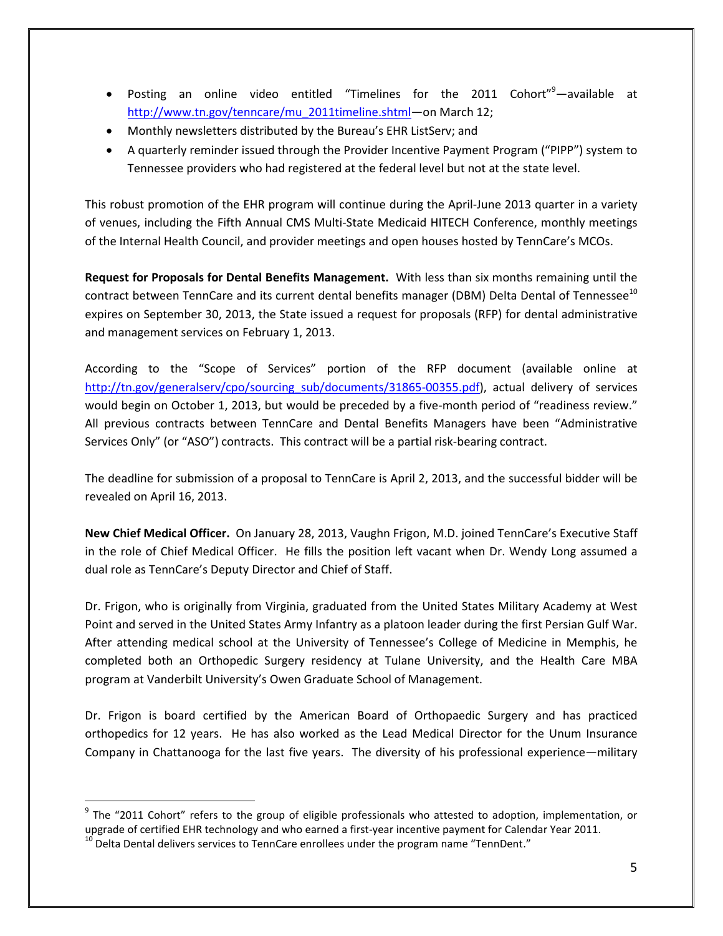- Posting an online video entitled "Timelines for the 2011 Cohort"<sup>9</sup>—available at http://www.tn.gov/tenncare/mu\_2011timeline.shtml—on March 12;
- Monthly newsletters distributed by the Bureau's EHR ListServ; and
- A quarterly reminder issued through the Provider Incentive Payment Program ("PIPP") system to Tennessee providers who had registered at the federal level but not at the state level.

This robust promotion of the EHR program will continue during the April-June 2013 quarter in a variety of venues, including the Fifth Annual CMS Multi-State Medicaid HITECH Conference, monthly meetings of the Internal Health Council, and provider meetings and open houses hosted by TennCare's MCOs.

**Request for Proposals for Dental Benefits Management.** With less than six months remaining until the contract between TennCare and its current dental benefits manager (DBM) Delta Dental of Tennessee<sup>10</sup> expires on September 30, 2013, the State issued a request for proposals (RFP) for dental administrative and management services on February 1, 2013.

According to the "Scope of Services" portion of the RFP document (available online at http://tn.gov/generalserv/cpo/sourcing\_sub/documents/31865-00355.pdf), actual delivery of services would begin on October 1, 2013, but would be preceded by a five-month period of "readiness review." All previous contracts between TennCare and Dental Benefits Managers have been "Administrative Services Only" (or "ASO") contracts. This contract will be a partial risk-bearing contract.

The deadline for submission of a proposal to TennCare is April 2, 2013, and the successful bidder will be revealed on April 16, 2013.

**New Chief Medical Officer.** On January 28, 2013, Vaughn Frigon, M.D. joined TennCare's Executive Staff in the role of Chief Medical Officer. He fills the position left vacant when Dr. Wendy Long assumed a dual role as TennCare's Deputy Director and Chief of Staff.

Dr. Frigon, who is originally from Virginia, graduated from the United States Military Academy at West Point and served in the United States Army Infantry as a platoon leader during the first Persian Gulf War. After attending medical school at the University of Tennessee's College of Medicine in Memphis, he completed both an Orthopedic Surgery residency at Tulane University, and the Health Care MBA program at Vanderbilt University's Owen Graduate School of Management.

Dr. Frigon is board certified by the American Board of Orthopaedic Surgery and has practiced orthopedics for 12 years. He has also worked as the Lead Medical Director for the Unum Insurance Company in Chattanooga for the last five years. The diversity of his professional experience—military

 $\overline{a}$ 

 $9$  The "2011 Cohort" refers to the group of eligible professionals who attested to adoption, implementation, or upgrade of certified EHR technology and who earned a first-year incentive payment for Calendar Year 2011.

 $10$  Delta Dental delivers services to TennCare enrollees under the program name "TennDent."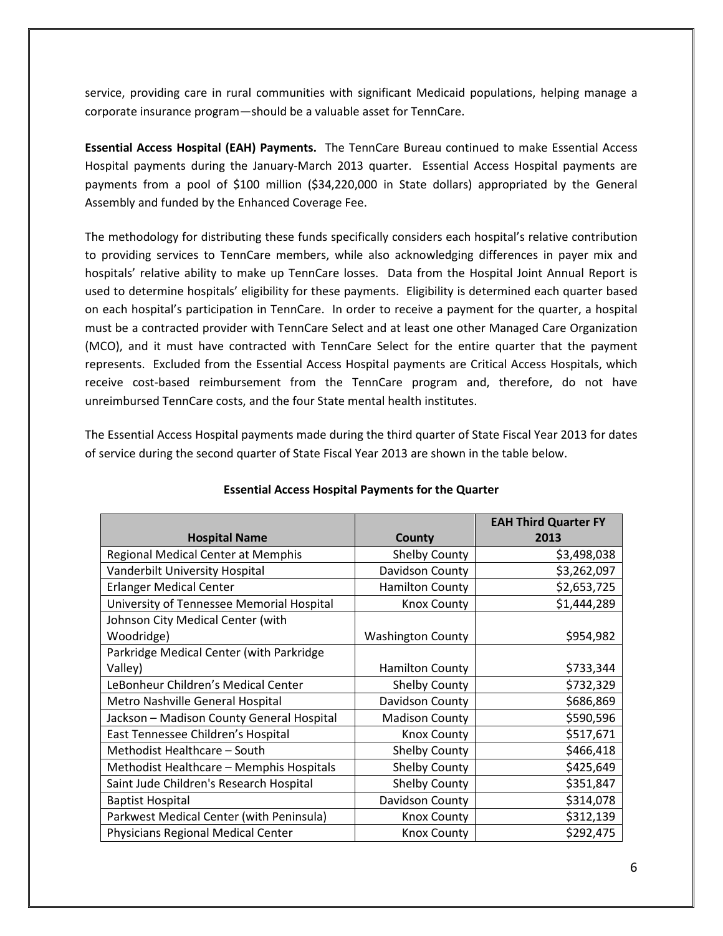service, providing care in rural communities with significant Medicaid populations, helping manage a corporate insurance program—should be a valuable asset for TennCare.

**Essential Access Hospital (EAH) Payments.** The TennCare Bureau continued to make Essential Access Hospital payments during the January-March 2013 quarter. Essential Access Hospital payments are payments from a pool of \$100 million (\$34,220,000 in State dollars) appropriated by the General Assembly and funded by the Enhanced Coverage Fee.

The methodology for distributing these funds specifically considers each hospital's relative contribution to providing services to TennCare members, while also acknowledging differences in payer mix and hospitals' relative ability to make up TennCare losses. Data from the Hospital Joint Annual Report is used to determine hospitals' eligibility for these payments. Eligibility is determined each quarter based on each hospital's participation in TennCare. In order to receive a payment for the quarter, a hospital must be a contracted provider with TennCare Select and at least one other Managed Care Organization (MCO), and it must have contracted with TennCare Select for the entire quarter that the payment represents. Excluded from the Essential Access Hospital payments are Critical Access Hospitals, which receive cost-based reimbursement from the TennCare program and, therefore, do not have unreimbursed TennCare costs, and the four State mental health institutes.

The Essential Access Hospital payments made during the third quarter of State Fiscal Year 2013 for dates of service during the second quarter of State Fiscal Year 2013 are shown in the table below.

|                                           |                          | <b>EAH Third Quarter FY</b> |
|-------------------------------------------|--------------------------|-----------------------------|
| <b>Hospital Name</b>                      | County                   | 2013                        |
| Regional Medical Center at Memphis        | <b>Shelby County</b>     | \$3,498,038                 |
| Vanderbilt University Hospital            | Davidson County          | \$3,262,097                 |
| <b>Erlanger Medical Center</b>            | <b>Hamilton County</b>   | \$2,653,725                 |
| University of Tennessee Memorial Hospital | <b>Knox County</b>       | \$1,444,289                 |
| Johnson City Medical Center (with         |                          |                             |
| Woodridge)                                | <b>Washington County</b> | \$954,982                   |
| Parkridge Medical Center (with Parkridge  |                          |                             |
| Valley)                                   | <b>Hamilton County</b>   | \$733,344                   |
| LeBonheur Children's Medical Center       | Shelby County            | \$732,329                   |
| Metro Nashville General Hospital          | Davidson County          | \$686,869                   |
| Jackson - Madison County General Hospital | <b>Madison County</b>    | \$590,596                   |
| East Tennessee Children's Hospital        | <b>Knox County</b>       | \$517,671                   |
| Methodist Healthcare - South              | Shelby County            | \$466,418                   |
| Methodist Healthcare - Memphis Hospitals  | Shelby County            | \$425,649                   |
| Saint Jude Children's Research Hospital   | Shelby County            | \$351,847                   |
| <b>Baptist Hospital</b>                   | Davidson County          | \$314,078                   |
| Parkwest Medical Center (with Peninsula)  | <b>Knox County</b>       | \$312,139                   |
| Physicians Regional Medical Center        | <b>Knox County</b>       | \$292,475                   |

#### **Essential Access Hospital Payments for the Quarter**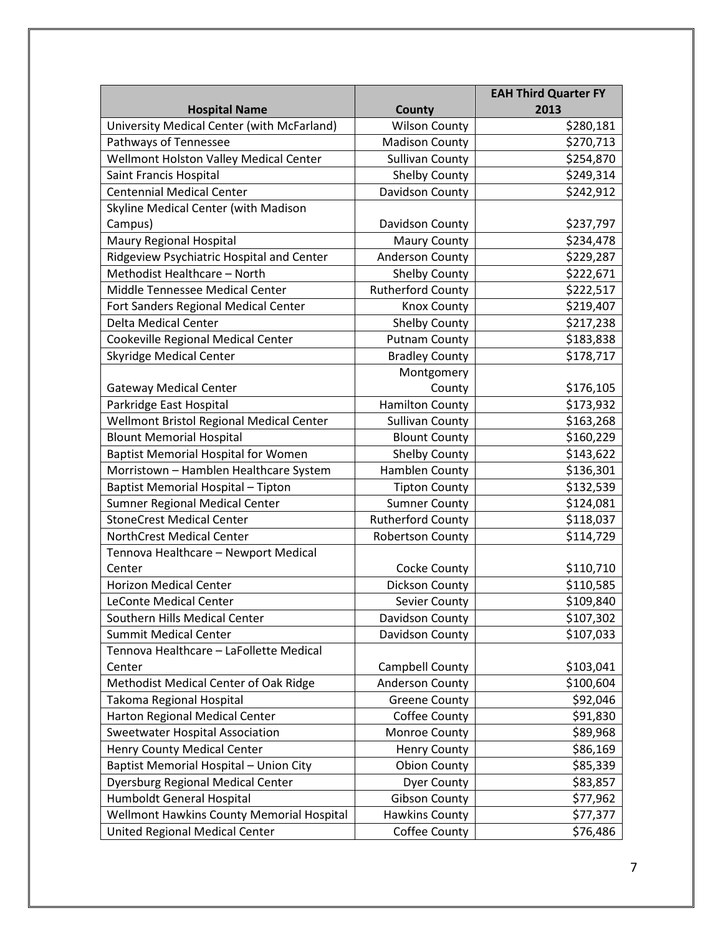|                                            |                          | <b>EAH Third Quarter FY</b> |
|--------------------------------------------|--------------------------|-----------------------------|
| <b>Hospital Name</b>                       | <b>County</b>            | 2013                        |
| University Medical Center (with McFarland) | <b>Wilson County</b>     | \$280,181                   |
| Pathways of Tennessee                      | <b>Madison County</b>    | \$270,713                   |
| Wellmont Holston Valley Medical Center     | <b>Sullivan County</b>   | \$254,870                   |
| Saint Francis Hospital                     | <b>Shelby County</b>     | \$249,314                   |
| <b>Centennial Medical Center</b>           | Davidson County          | \$242,912                   |
| Skyline Medical Center (with Madison       |                          |                             |
| Campus)                                    | Davidson County          | \$237,797                   |
| Maury Regional Hospital                    | <b>Maury County</b>      | \$234,478                   |
| Ridgeview Psychiatric Hospital and Center  | Anderson County          | \$229,287                   |
| Methodist Healthcare - North               | Shelby County            | \$222,671                   |
| Middle Tennessee Medical Center            | <b>Rutherford County</b> | \$222,517                   |
| Fort Sanders Regional Medical Center       | <b>Knox County</b>       | \$219,407                   |
| <b>Delta Medical Center</b>                | <b>Shelby County</b>     | \$217,238                   |
| Cookeville Regional Medical Center         | <b>Putnam County</b>     | \$183,838                   |
| <b>Skyridge Medical Center</b>             | <b>Bradley County</b>    | \$178,717                   |
|                                            | Montgomery               |                             |
| <b>Gateway Medical Center</b>              | County                   | \$176,105                   |
| Parkridge East Hospital                    | <b>Hamilton County</b>   | \$173,932                   |
| Wellmont Bristol Regional Medical Center   | <b>Sullivan County</b>   | \$163,268                   |
| <b>Blount Memorial Hospital</b>            | <b>Blount County</b>     | \$160,229                   |
| <b>Baptist Memorial Hospital for Women</b> | <b>Shelby County</b>     | \$143,622                   |
| Morristown - Hamblen Healthcare System     | Hamblen County           | \$136,301                   |
| Baptist Memorial Hospital - Tipton         | <b>Tipton County</b>     | \$132,539                   |
| <b>Sumner Regional Medical Center</b>      | <b>Sumner County</b>     | \$124,081                   |
| <b>StoneCrest Medical Center</b>           | <b>Rutherford County</b> | \$118,037                   |
| <b>NorthCrest Medical Center</b>           | <b>Robertson County</b>  | \$114,729                   |
| Tennova Healthcare - Newport Medical       |                          |                             |
| Center                                     | Cocke County             | \$110,710                   |
| <b>Horizon Medical Center</b>              | Dickson County           | \$110,585                   |
| <b>LeConte Medical Center</b>              | Sevier County            | \$109,840                   |
| Southern Hills Medical Center              | Davidson County          | \$107,302                   |
| <b>Summit Medical Center</b>               | Davidson County          | \$107,033                   |
| Tennova Healthcare - LaFollette Medical    |                          |                             |
| Center                                     | Campbell County          | \$103,041                   |
| Methodist Medical Center of Oak Ridge      | Anderson County          | \$100,604                   |
| Takoma Regional Hospital                   | <b>Greene County</b>     | \$92,046                    |
| Harton Regional Medical Center             | Coffee County            | \$91,830                    |
| Sweetwater Hospital Association            | Monroe County            | \$89,968                    |
| Henry County Medical Center                | <b>Henry County</b>      | \$86,169                    |
| Baptist Memorial Hospital - Union City     | <b>Obion County</b>      | \$85,339                    |
| <b>Dyersburg Regional Medical Center</b>   | <b>Dyer County</b>       | \$83,857                    |
| Humboldt General Hospital                  | <b>Gibson County</b>     | \$77,962                    |
| Wellmont Hawkins County Memorial Hospital  | <b>Hawkins County</b>    | \$77,377                    |
| United Regional Medical Center             | Coffee County            | \$76,486                    |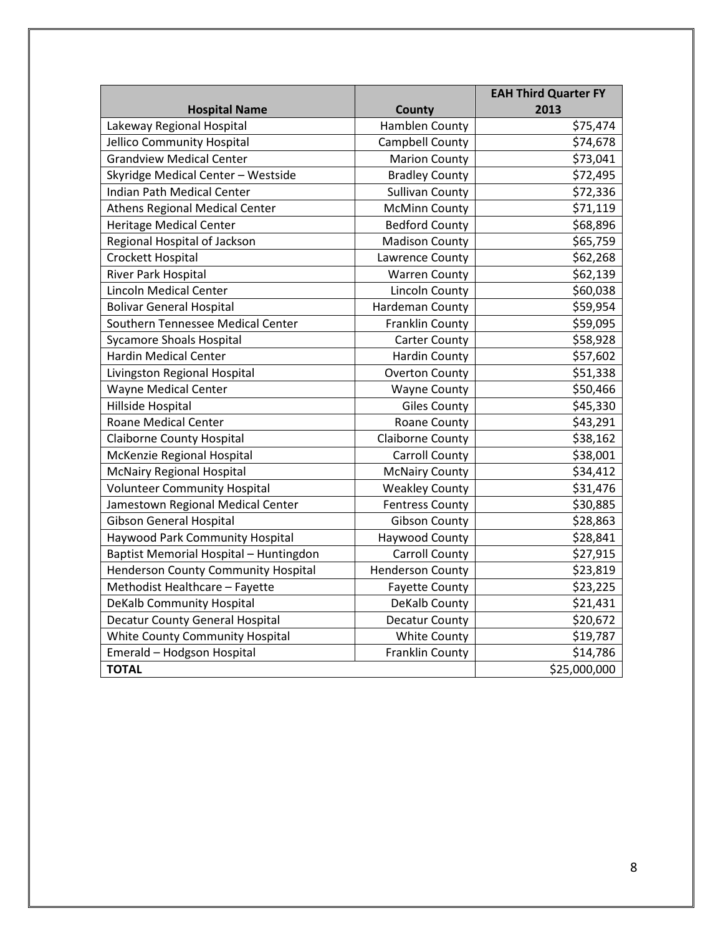|                                            |                         | <b>EAH Third Quarter FY</b> |
|--------------------------------------------|-------------------------|-----------------------------|
| <b>Hospital Name</b>                       | County                  | 2013                        |
| Lakeway Regional Hospital                  | Hamblen County          | \$75,474                    |
| Jellico Community Hospital                 | Campbell County         | \$74,678                    |
| <b>Grandview Medical Center</b>            | <b>Marion County</b>    | \$73,041                    |
| Skyridge Medical Center - Westside         | <b>Bradley County</b>   | \$72,495                    |
| Indian Path Medical Center                 | <b>Sullivan County</b>  | \$72,336                    |
| <b>Athens Regional Medical Center</b>      | <b>McMinn County</b>    | \$71,119                    |
| <b>Heritage Medical Center</b>             | <b>Bedford County</b>   | \$68,896                    |
| Regional Hospital of Jackson               | <b>Madison County</b>   | \$65,759                    |
| Crockett Hospital                          | Lawrence County         | \$62,268                    |
| River Park Hospital                        | <b>Warren County</b>    | \$62,139                    |
| <b>Lincoln Medical Center</b>              | <b>Lincoln County</b>   | \$60,038                    |
| <b>Bolivar General Hospital</b>            | Hardeman County         | \$59,954                    |
| Southern Tennessee Medical Center          | Franklin County         | \$59,095                    |
| <b>Sycamore Shoals Hospital</b>            | <b>Carter County</b>    | \$58,928                    |
| <b>Hardin Medical Center</b>               | <b>Hardin County</b>    | \$57,602                    |
| Livingston Regional Hospital               | <b>Overton County</b>   | \$51,338                    |
| <b>Wayne Medical Center</b>                | <b>Wayne County</b>     | \$50,466                    |
| Hillside Hospital                          | <b>Giles County</b>     | \$45,330                    |
| <b>Roane Medical Center</b>                | Roane County            | \$43,291                    |
| <b>Claiborne County Hospital</b>           | <b>Claiborne County</b> | \$38,162                    |
| McKenzie Regional Hospital                 | <b>Carroll County</b>   | \$38,001                    |
| <b>McNairy Regional Hospital</b>           | <b>McNairy County</b>   | \$34,412                    |
| <b>Volunteer Community Hospital</b>        | <b>Weakley County</b>   | \$31,476                    |
| Jamestown Regional Medical Center          | <b>Fentress County</b>  | \$30,885                    |
| <b>Gibson General Hospital</b>             | <b>Gibson County</b>    | \$28,863                    |
| <b>Haywood Park Community Hospital</b>     | Haywood County          | \$28,841                    |
| Baptist Memorial Hospital - Huntingdon     | <b>Carroll County</b>   | \$27,915                    |
| <b>Henderson County Community Hospital</b> | <b>Henderson County</b> | \$23,819                    |
| Methodist Healthcare - Fayette             | <b>Fayette County</b>   | \$23,225                    |
| DeKalb Community Hospital                  | DeKalb County           | \$21,431                    |
| <b>Decatur County General Hospital</b>     | <b>Decatur County</b>   | \$20,672                    |
| White County Community Hospital            | <b>White County</b>     | \$19,787                    |
| Emerald - Hodgson Hospital                 | Franklin County         | \$14,786                    |
| <b>TOTAL</b>                               |                         | \$25,000,000                |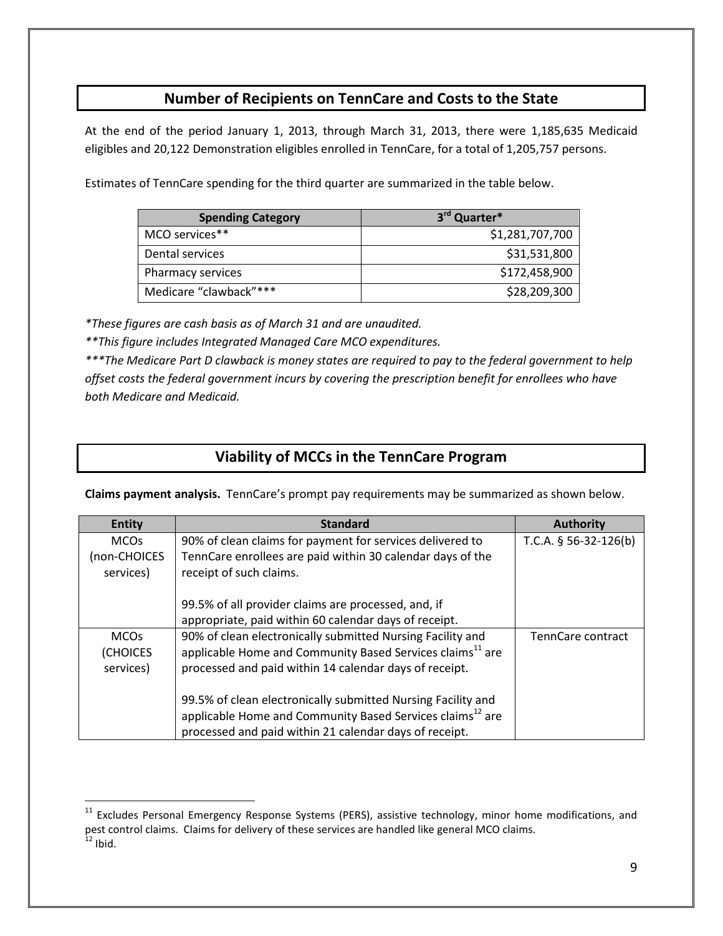## **Number of Recipients on TennCare and Costs to the State**

At the end of the period January 1, 2013, through March 31, 2013, there were 1,185,635 Medicaid eligibles and 20,122 Demonstration eligibles enrolled in TennCare, for a total of 1,205,757 persons.

Estimates of TennCare spending for the third quarter are summarized in the table below.

| <b>Spending Category</b> | 3rd Quarter*    |
|--------------------------|-----------------|
| MCO services**           | \$1,281,707,700 |
| Dental services          | \$31,531,800    |
| Pharmacy services        | \$172,458,900   |
| Medicare "clawback"***   | \$28,209,300    |

*\*These figures are cash basis as of March 31 and are unaudited.* 

 $\overline{a}$ 

*\*\*This figure includes Integrated Managed Care MCO expenditures.* 

*\*\*\*The Medicare Part D clawback is money states are required to pay to the federal government to help offset costs the federal government incurs by covering the prescription benefit for enrollees who have both Medicare and Medicaid.*

## **Viability of MCCs in the TennCare Program**

**Claims payment analysis.** TennCare's prompt pay requirements may be summarized as shown below.

| <b>Entity</b> | <b>Standard</b>                                                       | <b>Authority</b>        |
|---------------|-----------------------------------------------------------------------|-------------------------|
| <b>MCOs</b>   | 90% of clean claims for payment for services delivered to             | T.C.A. $§$ 56-32-126(b) |
| (non-CHOICES  | TennCare enrollees are paid within 30 calendar days of the            |                         |
| services)     | receipt of such claims.                                               |                         |
|               |                                                                       |                         |
|               | 99.5% of all provider claims are processed, and, if                   |                         |
|               | appropriate, paid within 60 calendar days of receipt.                 |                         |
| <b>MCOs</b>   | 90% of clean electronically submitted Nursing Facility and            | TennCare contract       |
| (CHOICES      | applicable Home and Community Based Services claims <sup>11</sup> are |                         |
| services)     | processed and paid within 14 calendar days of receipt.                |                         |
|               |                                                                       |                         |
|               | 99.5% of clean electronically submitted Nursing Facility and          |                         |
|               | applicable Home and Community Based Services claims <sup>12</sup> are |                         |
|               | processed and paid within 21 calendar days of receipt.                |                         |

 $11$  Excludes Personal Emergency Response Systems (PERS), assistive technology, minor home modifications, and pest control claims. Claims for delivery of these services are handled like general MCO claims.  $12$  Ibid.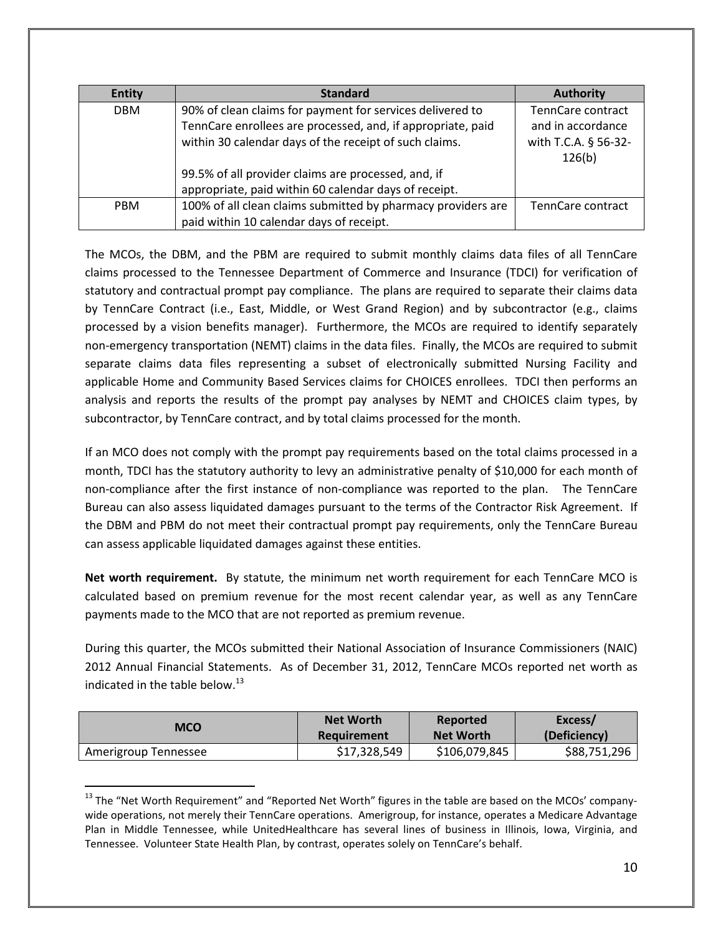| <b>Entity</b> | <b>Standard</b>                                              | <b>Authority</b>     |
|---------------|--------------------------------------------------------------|----------------------|
| <b>DBM</b>    | 90% of clean claims for payment for services delivered to    | TennCare contract    |
|               | TennCare enrollees are processed, and, if appropriate, paid  | and in accordance    |
|               | within 30 calendar days of the receipt of such claims.       | with T.C.A. § 56-32- |
|               |                                                              | 126(b)               |
|               | 99.5% of all provider claims are processed, and, if          |                      |
|               | appropriate, paid within 60 calendar days of receipt.        |                      |
| <b>PBM</b>    | 100% of all clean claims submitted by pharmacy providers are | TennCare contract    |
|               | paid within 10 calendar days of receipt.                     |                      |

The MCOs, the DBM, and the PBM are required to submit monthly claims data files of all TennCare claims processed to the Tennessee Department of Commerce and Insurance (TDCI) for verification of statutory and contractual prompt pay compliance. The plans are required to separate their claims data by TennCare Contract (i.e., East, Middle, or West Grand Region) and by subcontractor (e.g., claims processed by a vision benefits manager). Furthermore, the MCOs are required to identify separately non-emergency transportation (NEMT) claims in the data files. Finally, the MCOs are required to submit separate claims data files representing a subset of electronically submitted Nursing Facility and applicable Home and Community Based Services claims for CHOICES enrollees. TDCI then performs an analysis and reports the results of the prompt pay analyses by NEMT and CHOICES claim types, by subcontractor, by TennCare contract, and by total claims processed for the month.

If an MCO does not comply with the prompt pay requirements based on the total claims processed in a month, TDCI has the statutory authority to levy an administrative penalty of \$10,000 for each month of non-compliance after the first instance of non-compliance was reported to the plan. The TennCare Bureau can also assess liquidated damages pursuant to the terms of the Contractor Risk Agreement. If the DBM and PBM do not meet their contractual prompt pay requirements, only the TennCare Bureau can assess applicable liquidated damages against these entities.

**Net worth requirement.** By statute, the minimum net worth requirement for each TennCare MCO is calculated based on premium revenue for the most recent calendar year, as well as any TennCare payments made to the MCO that are not reported as premium revenue.

During this quarter, the MCOs submitted their National Association of Insurance Commissioners (NAIC) 2012 Annual Financial Statements. As of December 31, 2012, TennCare MCOs reported net worth as indicated in the table below. $^{13}$ 

| MCO                  | <b>Net Worth</b> | Reported         | Excess/      |
|----------------------|------------------|------------------|--------------|
|                      | Requirement      | <b>Net Worth</b> | (Deficiency) |
| Amerigroup Tennessee | \$17,328,549     | \$106,079,845    | \$88,751,296 |

<sup>&</sup>lt;sup>13</sup> The "Net Worth Requirement" and "Reported Net Worth" figures in the table are based on the MCOs' companywide operations, not merely their TennCare operations. Amerigroup, for instance, operates a Medicare Advantage Plan in Middle Tennessee, while UnitedHealthcare has several lines of business in Illinois, Iowa, Virginia, and Tennessee. Volunteer State Health Plan, by contrast, operates solely on TennCare's behalf.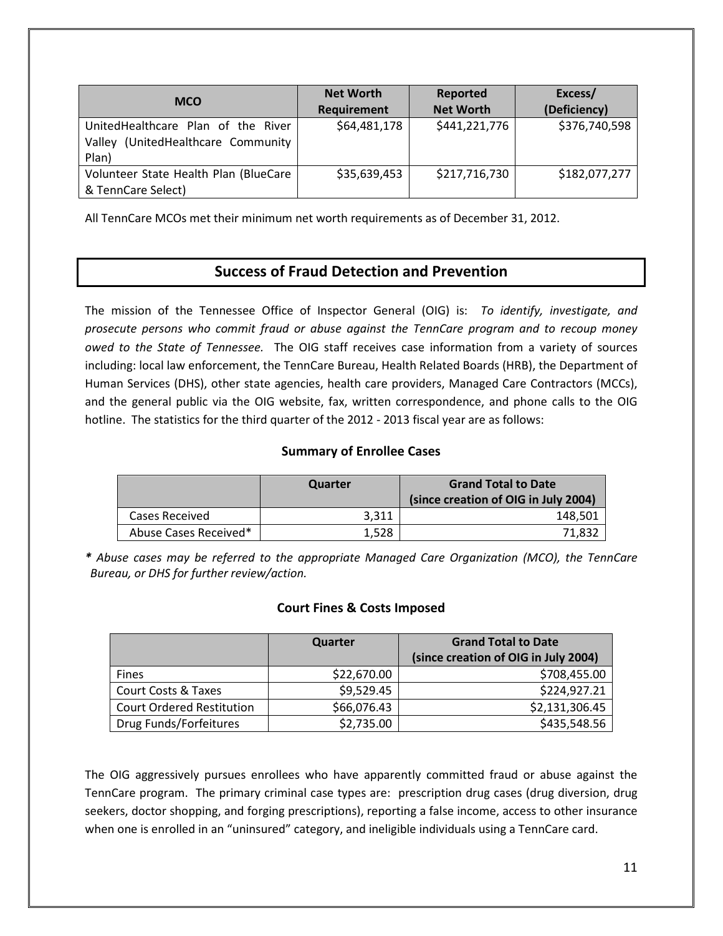| <b>MCO</b>                                                                           | <b>Net Worth</b><br>Requirement | Reported<br><b>Net Worth</b> | Excess/<br>(Deficiency) |
|--------------------------------------------------------------------------------------|---------------------------------|------------------------------|-------------------------|
| UnitedHealthcare Plan of the River<br>(UnitedHealthcare Community<br>Valley<br>Plan) | \$64,481,178                    | \$441,221,776                | \$376,740,598           |
| Volunteer State Health Plan (BlueCare<br>& TennCare Select)                          | \$35,639,453                    | \$217,716,730                | \$182,077,277           |

All TennCare MCOs met their minimum net worth requirements as of December 31, 2012.

## **Success of Fraud Detection and Prevention**

The mission of the Tennessee Office of Inspector General (OIG) is: *To identify, investigate, and prosecute persons who commit fraud or abuse against the TennCare program and to recoup money owed to the State of Tennessee.* The OIG staff receives case information from a variety of sources including: local law enforcement, the TennCare Bureau, Health Related Boards (HRB), the Department of Human Services (DHS), other state agencies, health care providers, Managed Care Contractors (MCCs), and the general public via the OIG website, fax, written correspondence, and phone calls to the OIG hotline. The statistics for the third quarter of the 2012 - 2013 fiscal year are as follows:

### **Summary of Enrollee Cases**

|                       | Quarter | <b>Grand Total to Date</b><br>(since creation of OIG in July 2004) |
|-----------------------|---------|--------------------------------------------------------------------|
| Cases Received        | 3.311   | 148.501                                                            |
| Abuse Cases Received* | 1.528   | 71.832                                                             |

*\* Abuse cases may be referred to the appropriate Managed Care Organization (MCO), the TennCare Bureau, or DHS for further review/action.* 

#### **Court Fines & Costs Imposed**

|                                  | Quarter     | <b>Grand Total to Date</b>           |
|----------------------------------|-------------|--------------------------------------|
|                                  |             | (since creation of OIG in July 2004) |
| <b>Fines</b>                     | \$22,670.00 | \$708,455.00                         |
| Court Costs & Taxes              | \$9,529.45  | \$224,927.21                         |
| <b>Court Ordered Restitution</b> | \$66,076.43 | \$2,131,306.45                       |
| Drug Funds/Forfeitures           | \$2,735.00  | \$435,548.56                         |

The OIG aggressively pursues enrollees who have apparently committed fraud or abuse against the TennCare program. The primary criminal case types are: prescription drug cases (drug diversion, drug seekers, doctor shopping, and forging prescriptions), reporting a false income, access to other insurance when one is enrolled in an "uninsured" category, and ineligible individuals using a TennCare card.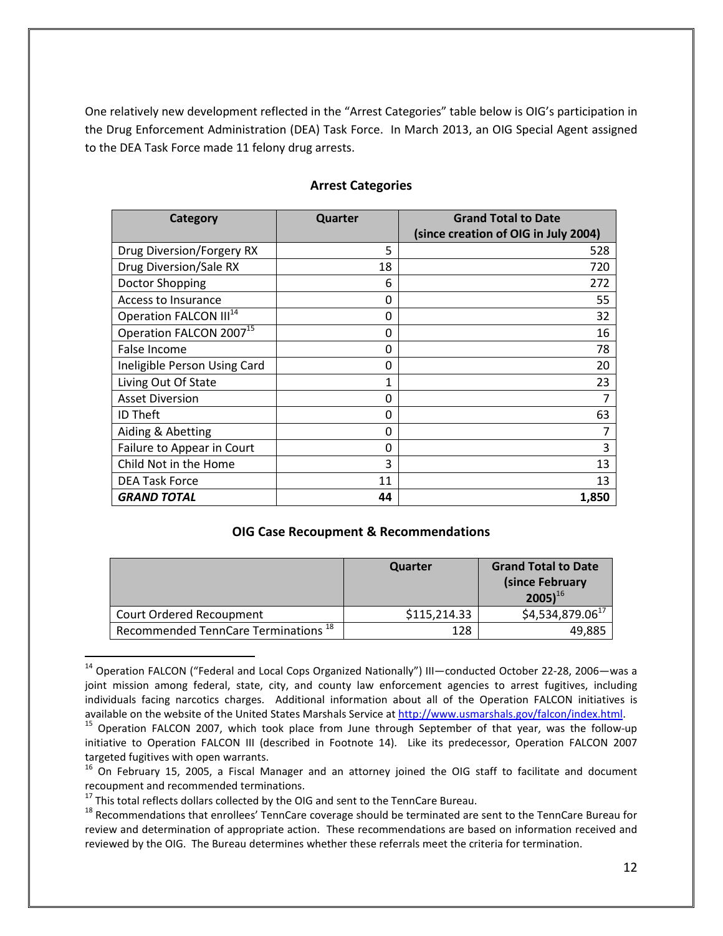One relatively new development reflected in the "Arrest Categories" table below is OIG's participation in the Drug Enforcement Administration (DEA) Task Force. In March 2013, an OIG Special Agent assigned to the DEA Task Force made 11 felony drug arrests.

| Category                            | Quarter | <b>Grand Total to Date</b>           |
|-------------------------------------|---------|--------------------------------------|
|                                     |         | (since creation of OIG in July 2004) |
| Drug Diversion/Forgery RX           | 5       | 528                                  |
| Drug Diversion/Sale RX              | 18      | 720                                  |
| Doctor Shopping                     | 6       | 272                                  |
| Access to Insurance                 | 0       | 55                                   |
| Operation FALCON III <sup>14</sup>  | 0       | 32                                   |
| Operation FALCON 2007 <sup>15</sup> | 0       | 16                                   |
| False Income                        | 0       | 78                                   |
| Ineligible Person Using Card        | 0       | 20                                   |
| Living Out Of State                 | 1       | 23                                   |
| <b>Asset Diversion</b>              | 0       | 7                                    |
| <b>ID Theft</b>                     | 0       | 63                                   |
| Aiding & Abetting                   | 0       | 7                                    |
| Failure to Appear in Court          | 0       | 3                                    |
| Child Not in the Home               | 3       | 13                                   |
| <b>DEA Task Force</b>               | 11      | 13                                   |
| <b>GRAND TOTAL</b>                  | 44      | 1,850                                |

#### **Arrest Categories**

#### **OIG Case Recoupment & Recommendations**

|                                                 | Quarter      | <b>Grand Total to Date</b><br>(since February<br>$2005$ <sup>16</sup> |
|-------------------------------------------------|--------------|-----------------------------------------------------------------------|
| Court Ordered Recoupment                        | \$115,214.33 | $$4,534,879.06^{17}$                                                  |
| Recommended TennCare Terminations <sup>18</sup> | 128          | 49,885                                                                |

<sup>&</sup>lt;sup>14</sup> Operation FALCON ("Federal and Local Cops Organized Nationally") III—conducted October 22-28, 2006—was a joint mission among federal, state, city, and county law enforcement agencies to arrest fugitives, including individuals facing narcotics charges. Additional information about all of the Operation FALCON initiatives is available on the website of the United States Marshals Service at http://www.usmarshals.gov/falcon/index.html.

<sup>&</sup>lt;sup>15</sup> Operation FALCON 2007, which took place from June through September of that year, was the follow-up initiative to Operation FALCON III (described in Footnote 14). Like its predecessor, Operation FALCON 2007 targeted fugitives with open warrants.

<sup>&</sup>lt;sup>16</sup> On February 15, 2005, a Fiscal Manager and an attorney joined the OIG staff to facilitate and document recoupment and recommended terminations.

 $17$  This total reflects dollars collected by the OIG and sent to the TennCare Bureau.

<sup>&</sup>lt;sup>18</sup> Recommendations that enrollees' TennCare coverage should be terminated are sent to the TennCare Bureau for review and determination of appropriate action. These recommendations are based on information received and reviewed by the OIG. The Bureau determines whether these referrals meet the criteria for termination.